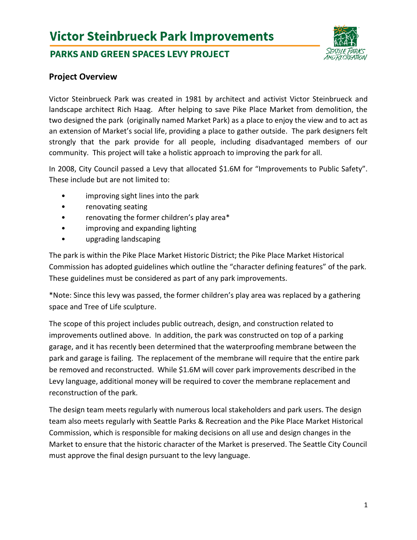# **Victor Steinbrueck Park Improvements**

# **PARKS AND GREEN SPACES LEVY PROJECT**



## **Project Overview**

Victor Steinbrueck Park was created in 1981 by architect and activist Victor Steinbrueck and landscape architect Rich Haag. After helping to save Pike Place Market from demolition, the two designed the park (originally named Market Park) as a place to enjoy the view and to act as an extension of Market's social life, providing a place to gather outside. The park designers felt strongly that the park provide for all people, including disadvantaged members of our community. This project will take a holistic approach to improving the park for all.

In 2008, City Council passed a Levy that allocated \$1.6M for "Improvements to Public Safety". These include but are not limited to:

- improving sight lines into the park
- renovating seating
- renovating the former children's play area\*
- improving and expanding lighting
- upgrading landscaping

The park is within the Pike Place Market Historic District; the Pike Place Market Historical Commission has adopted guidelines which outline the "character defining features" of the park. These guidelines must be considered as part of any park improvements.

\*Note: Since this levy was passed, the former children's play area was replaced by a gathering space and Tree of Life sculpture.

The scope of this project includes public outreach, design, and construction related to improvements outlined above. In addition, the park was constructed on top of a parking garage, and it has recently been determined that the waterproofing membrane between the park and garage is failing. The replacement of the membrane will require that the entire park be removed and reconstructed. While \$1.6M will cover park improvements described in the Levy language, additional money will be required to cover the membrane replacement and reconstruction of the park.

The design team meets regularly with numerous local stakeholders and park users. The design team also meets regularly with Seattle Parks & Recreation and the Pike Place Market Historical Commission, which is responsible for making decisions on all use and design changes in the Market to ensure that the historic character of the Market is preserved. The Seattle City Council must approve the final design pursuant to the levy language.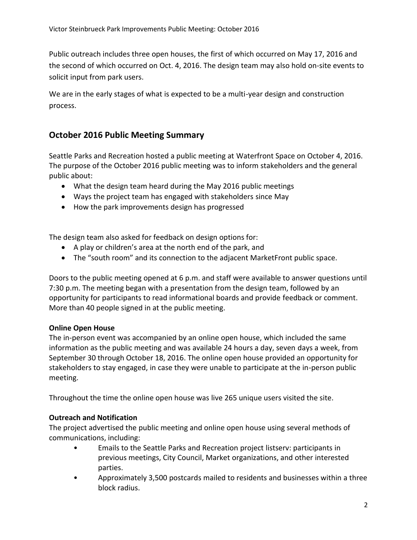Public outreach includes three open houses, the first of which occurred on May 17, 2016 and the second of which occurred on Oct. 4, 2016. The design team may also hold on-site events to solicit input from park users.

We are in the early stages of what is expected to be a multi-year design and construction process.

# **October 2016 Public Meeting Summary**

Seattle Parks and Recreation hosted a public meeting at Waterfront Space on October 4, 2016. The purpose of the October 2016 public meeting was to inform stakeholders and the general public about:

- What the design team heard during the May 2016 public meetings
- Ways the project team has engaged with stakeholders since May
- How the park improvements design has progressed

The design team also asked for feedback on design options for:

- A play or children's area at the north end of the park, and
- The "south room" and its connection to the adjacent MarketFront public space.

Doors to the public meeting opened at 6 p.m. and staff were available to answer questions until 7:30 p.m. The meeting began with a presentation from the design team, followed by an opportunity for participants to read informational boards and provide feedback or comment. More than 40 people signed in at the public meeting.

#### **Online Open House**

The in-person event was accompanied by an online open house, which included the same information as the public meeting and was available 24 hours a day, seven days a week, from September 30 through October 18, 2016. The online open house provided an opportunity for stakeholders to stay engaged, in case they were unable to participate at the in-person public meeting.

Throughout the time the online open house was live 265 unique users visited the site.

## **Outreach and Notification**

The project advertised the public meeting and online open house using several methods of communications, including:

- Emails to the Seattle Parks and Recreation project listserv: participants in previous meetings, City Council, Market organizations, and other interested parties.
- Approximately 3,500 postcards mailed to residents and businesses within a three block radius.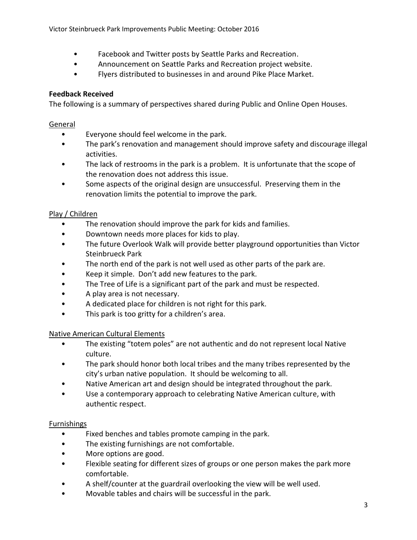- Facebook and Twitter posts by Seattle Parks and Recreation.
- Announcement on Seattle Parks and Recreation project website.
- Flyers distributed to businesses in and around Pike Place Market.

### **Feedback Received**

The following is a summary of perspectives shared during Public and Online Open Houses.

#### General

- Everyone should feel welcome in the park.
- The park's renovation and management should improve safety and discourage illegal activities.
- The lack of restrooms in the park is a problem. It is unfortunate that the scope of the renovation does not address this issue.
- Some aspects of the original design are unsuccessful. Preserving them in the renovation limits the potential to improve the park.

#### Play / Children

- The renovation should improve the park for kids and families.
- Downtown needs more places for kids to play.
- The future Overlook Walk will provide better playground opportunities than Victor Steinbrueck Park
- The north end of the park is not well used as other parts of the park are.
- Keep it simple. Don't add new features to the park.
- The Tree of Life is a significant part of the park and must be respected.
- A play area is not necessary.
- A dedicated place for children is not right for this park.
- This park is too gritty for a children's area.

#### Native American Cultural Elements

- The existing "totem poles" are not authentic and do not represent local Native culture.
- The park should honor both local tribes and the many tribes represented by the city's urban native population. It should be welcoming to all.
- Native American art and design should be integrated throughout the park.
- Use a contemporary approach to celebrating Native American culture, with authentic respect.

#### Furnishings

- Fixed benches and tables promote camping in the park.
- The existing furnishings are not comfortable.
- More options are good.
- Flexible seating for different sizes of groups or one person makes the park more comfortable.
- A shelf/counter at the guardrail overlooking the view will be well used.
- Movable tables and chairs will be successful in the park.